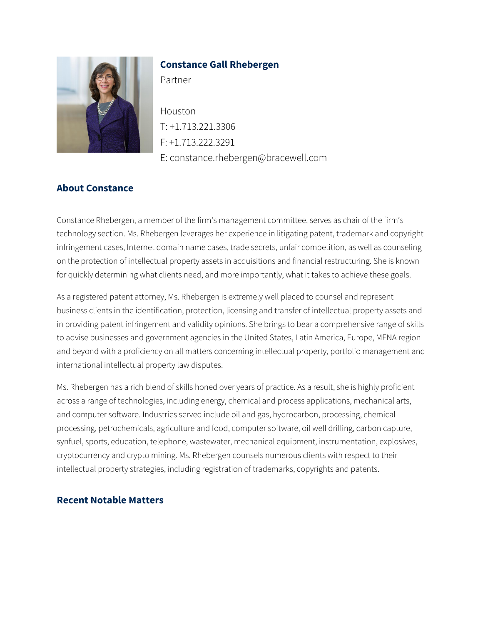

### **Constance Gall Rhebergen**

Partner

Houston T: +1.713.221.3306 F: +1.713.222.3291 E: constance.rhebergen@bracewell.com

## **About Constance**

Constance Rhebergen, a member of the firm's management committee, serves as chair of the firm's technology section. Ms. Rhebergen leverages her experience in litigating patent, trademark and copyright infringement cases, Internet domain name cases, trade secrets, unfair competition, as well as counseling on the protection of intellectual property assets in acquisitions and financial restructuring. She is known for quickly determining what clients need, and more importantly, what it takes to achieve these goals.

As a registered patent attorney, Ms. Rhebergen is extremely well placed to counsel and represent business clients in the identification, protection, licensing and transfer of intellectual property assets and in providing patent infringement and validity opinions. She brings to bear a comprehensive range of skills to advise businesses and government agencies in the United States, Latin America, Europe, MENA region and beyond with a proficiency on all matters concerning intellectual property, portfolio management and international intellectual property law disputes.

Ms. Rhebergen has a rich blend of skills honed over years of practice. As a result, she is highly proficient across a range of technologies, including energy, chemical and process applications, mechanical arts, and computer software. Industries served include oil and gas, hydrocarbon, processing, chemical processing, petrochemicals, agriculture and food, computer software, oil well drilling, carbon capture, synfuel, sports, education, telephone, wastewater, mechanical equipment, instrumentation, explosives, cryptocurrency and crypto mining. Ms. Rhebergen counsels numerous clients with respect to their intellectual property strategies, including registration of trademarks, copyrights and patents.

### **Recent Notable Matters**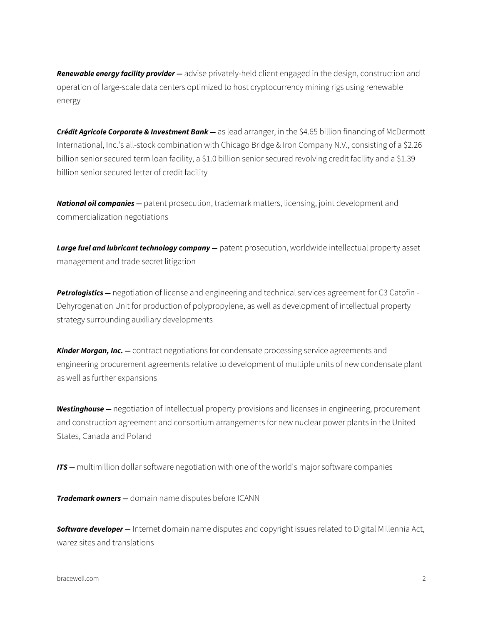*Renewable energy facility provider —* advise privately-held client engaged in the design, construction and operation of large-scale data centers optimized to host cryptocurrency mining rigs using renewable energy

*Crédit Agricole Corporate & Investment Bank —* as lead arranger, in the \$4.65 billion financing of McDermott International, Inc.'s all-stock combination with Chicago Bridge & Iron Company N.V., consisting of a \$2.26 billion senior secured term loan facility, a \$1.0 billion senior secured revolving credit facility and a \$1.39 billion senior secured letter of credit facility

*National oil companies —* patent prosecution, trademark matters, licensing, joint development and commercialization negotiations

Large fuel and lubricant technology company – patent prosecution, worldwide intellectual property asset management and trade secret litigation

*Petrologistics —* negotiation of license and engineering and technical services agreement for C3 Catofin - Dehyrogenation Unit for production of polypropylene, as well as development of intellectual property strategy surrounding auxiliary developments

*Kinder Morgan, Inc. —* contract negotiations for condensate processing service agreements and engineering procurement agreements relative to development of multiple units of new condensate plant as well as further expansions

*Westinghouse —* negotiation of intellectual property provisions and licenses in engineering, procurement and construction agreement and consortium arrangements for new nuclear power plants in the United States, Canada and Poland

*ITS* — multimillion dollar software negotiation with one of the world's major software companies

*Trademark owners —* domain name disputes before ICANN

*Software developer —* Internet domain name disputes and copyright issues related to Digital Millennia Act, warez sites and translations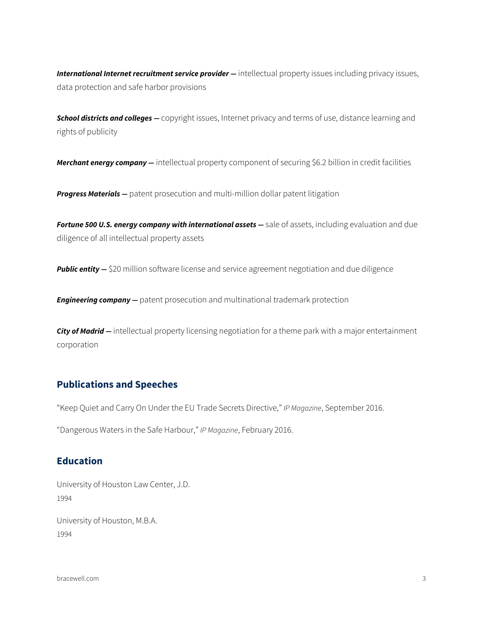International Internet recruitment service provider - intellectual property issues including privacy issues, data protection and safe harbor provisions

*School districts and colleges —* copyright issues, Internet privacy and terms of use, distance learning and rights of publicity

*Merchant energy company —* intellectual property component of securing \$6.2 billion in credit facilities

**Progress Materials** – patent prosecution and multi-million dollar patent litigation

**Fortune 500 U.S. energy company with international assets** — sale of assets, including evaluation and due diligence of all intellectual property assets

**Public entity -** \$20 million software license and service agreement negotiation and due diligence

**Engineering company** – patent prosecution and multinational trademark protection

*City of Madrid —* intellectual property licensing negotiation for a theme park with a major entertainment corporation

#### **Publications and Speeches**

"Keep Quiet and Carry On Under the EU Trade Secrets Directive," *IP Magazine*, September 2016.

"Dangerous Waters in the Safe Harbour," *IP Magazine*, February 2016.

#### **Education**

University of Houston Law Center, J.D. 1994

University of Houston, M.B.A. 1994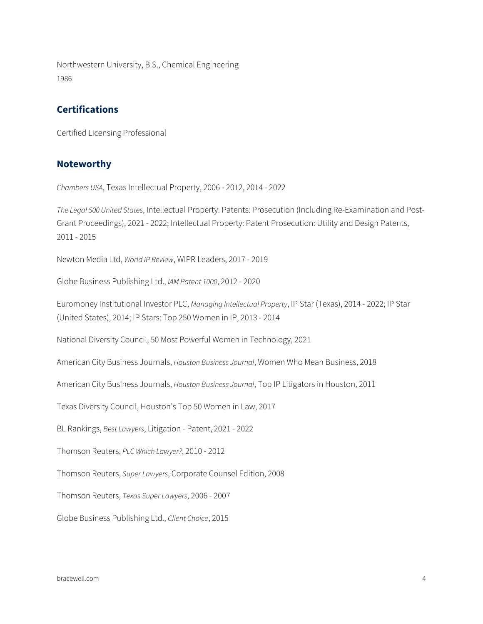Northwestern University, B.S., Chemical Engineering 1986

## **Certifications**

Certified Licensing Professional

#### **Noteworthy**

*Chambers USA*, Texas Intellectual Property, 2006 - 2012, 2014 - 2022

*The Legal 500 United States*, Intellectual Property: Patents: Prosecution (Including Re-Examination and Post-Grant Proceedings), 2021 - 2022; Intellectual Property: Patent Prosecution: Utility and Design Patents, 2011 - 2015

Newton Media Ltd, *World IP Review*, WIPR Leaders, 2017 - 2019

Globe Business Publishing Ltd., *IAM Patent 1000*, 2012 - 2020

Euromoney Institutional Investor PLC, *Managing Intellectual Property*, IP Star (Texas), 2014 - 2022; IP Star (United States), 2014; IP Stars: Top 250 Women in IP, 2013 - 2014

National Diversity Council, 50 Most Powerful Women in Technology, 2021

American City Business Journals, *Houston Business Journal*, Women Who Mean Business, 2018

American City Business Journals, *Houston Business Journal*, Top IP Litigators in Houston, 2011

Texas Diversity Council, Houston's Top 50 Women in Law, 2017

BL Rankings, *Best Lawyers*, Litigation - Patent, 2021 - 2022

Thomson Reuters, *PLC Which Lawyer?*, 2010 - 2012

Thomson Reuters, *Super Lawyers*, Corporate Counsel Edition, 2008

Thomson Reuters, *Texas Super Lawyers*, 2006 - 2007

Globe Business Publishing Ltd., *Client Choice*, 2015